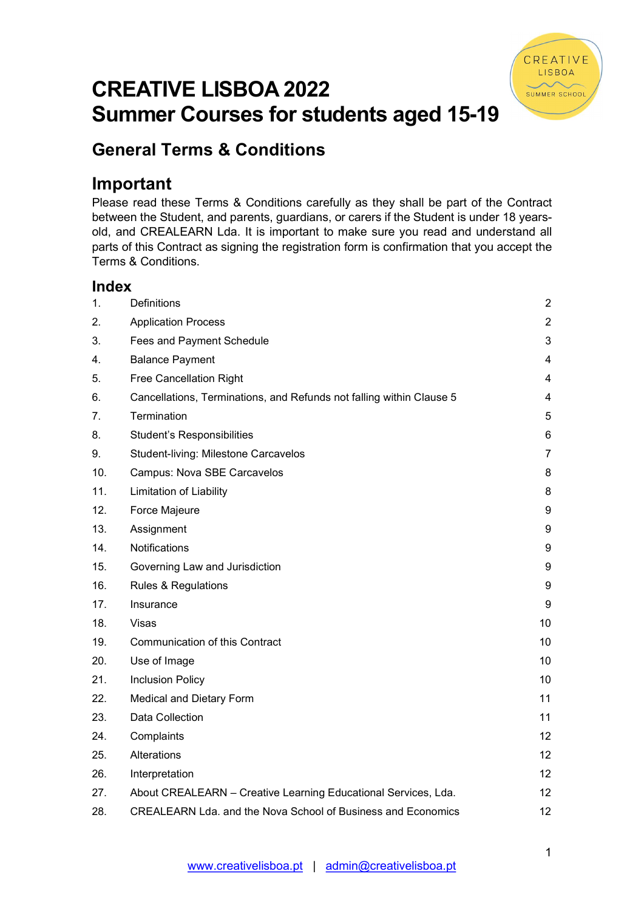

# CREATIVE LISBOA 2022 Summer Courses for students aged 15-19

## General Terms & Conditions

## Important

Please read these Terms & Conditions carefully as they shall be part of the Contract between the Student, and parents, guardians, or carers if the Student is under 18 yearsold, and CREALEARN Lda. It is important to make sure you read and understand all parts of this Contract as signing the registration form is confirmation that you accept the Terms & Conditions.

## Index

| 1.  | <b>Definitions</b>                                                   | $\overline{2}$   |
|-----|----------------------------------------------------------------------|------------------|
| 2.  | <b>Application Process</b>                                           | $\overline{2}$   |
| 3.  | Fees and Payment Schedule                                            | 3                |
| 4.  | <b>Balance Payment</b>                                               | $\overline{4}$   |
| 5.  | Free Cancellation Right                                              | 4                |
| 6.  | Cancellations, Terminations, and Refunds not falling within Clause 5 | 4                |
| 7.  | Termination                                                          | 5                |
| 8.  | <b>Student's Responsibilities</b>                                    | 6                |
| 9.  | Student-living: Milestone Carcavelos                                 | $\overline{7}$   |
| 10. | Campus: Nova SBE Carcavelos                                          | 8                |
| 11. | <b>Limitation of Liability</b>                                       | 8                |
| 12. | Force Majeure                                                        | $\boldsymbol{9}$ |
| 13. | Assignment                                                           | 9                |
| 14. | Notifications                                                        | 9                |
| 15. | Governing Law and Jurisdiction                                       | 9                |
| 16. | <b>Rules &amp; Regulations</b>                                       | 9                |
| 17. | Insurance                                                            | 9                |
| 18. | Visas                                                                | 10               |
| 19. | <b>Communication of this Contract</b>                                | 10               |
| 20. | Use of Image                                                         | 10               |
| 21. | <b>Inclusion Policy</b>                                              | 10               |
| 22. | Medical and Dietary Form                                             | 11               |
| 23. | Data Collection                                                      | 11               |
| 24. | Complaints                                                           | 12               |
| 25. | Alterations                                                          | 12               |
| 26. | Interpretation                                                       | 12               |
| 27. | About CREALEARN - Creative Learning Educational Services, Lda.       | 12 <sup>2</sup>  |
| 28. | CREALEARN Lda. and the Nova School of Business and Economics         | 12               |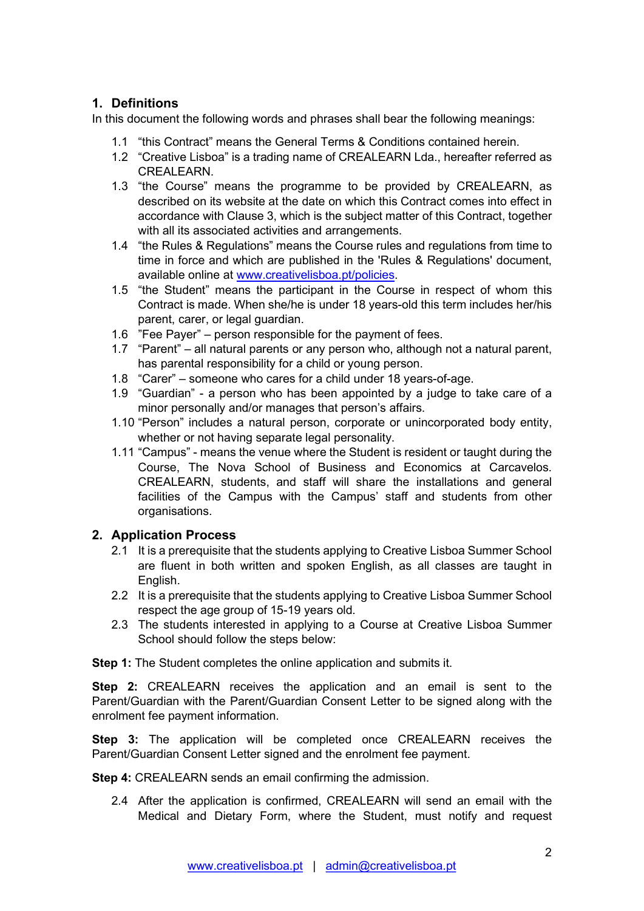## 1. Definitions

In this document the following words and phrases shall bear the following meanings:

- 1.1 "this Contract" means the General Terms & Conditions contained herein.
- 1.2 "Creative Lisboa" is a trading name of CREALEARN Lda., hereafter referred as CREALEARN.
- 1.3 "the Course" means the programme to be provided by CREALEARN, as described on its website at the date on which this Contract comes into effect in accordance with Clause 3, which is the subject matter of this Contract, together with all its associated activities and arrangements.
- 1.4 "the Rules & Regulations" means the Course rules and regulations from time to time in force and which are published in the 'Rules & Regulations' document, available online at www.creativelisboa.pt/policies.
- 1.5 "the Student" means the participant in the Course in respect of whom this Contract is made. When she/he is under 18 years-old this term includes her/his parent, carer, or legal guardian.
- 1.6 "Fee Payer" person responsible for the payment of fees.
- 1.7 "Parent" all natural parents or any person who, although not a natural parent, has parental responsibility for a child or young person.
- 1.8 "Carer" someone who cares for a child under 18 years-of-age.
- 1.9 "Guardian" a person who has been appointed by a judge to take care of a minor personally and/or manages that person's affairs.
- 1.10 "Person" includes a natural person, corporate or unincorporated body entity, whether or not having separate legal personality.
- 1.11 "Campus" means the venue where the Student is resident or taught during the Course, The Nova School of Business and Economics at Carcavelos. CREALEARN, students, and staff will share the installations and general facilities of the Campus with the Campus' staff and students from other organisations.

## 2. Application Process

- 2.1 It is a prerequisite that the students applying to Creative Lisboa Summer School are fluent in both written and spoken English, as all classes are taught in English.
- 2.2 It is a prerequisite that the students applying to Creative Lisboa Summer School respect the age group of 15-19 years old.
- 2.3 The students interested in applying to a Course at Creative Lisboa Summer School should follow the steps below:

**Step 1:** The Student completes the online application and submits it.

**Step 2:** CREALEARN receives the application and an email is sent to the Parent/Guardian with the Parent/Guardian Consent Letter to be signed along with the enrolment fee payment information.

Step 3: The application will be completed once CREALEARN receives the Parent/Guardian Consent Letter signed and the enrolment fee payment.

Step 4: CREALEARN sends an email confirming the admission.

2.4 After the application is confirmed, CREALEARN will send an email with the Medical and Dietary Form, where the Student, must notify and request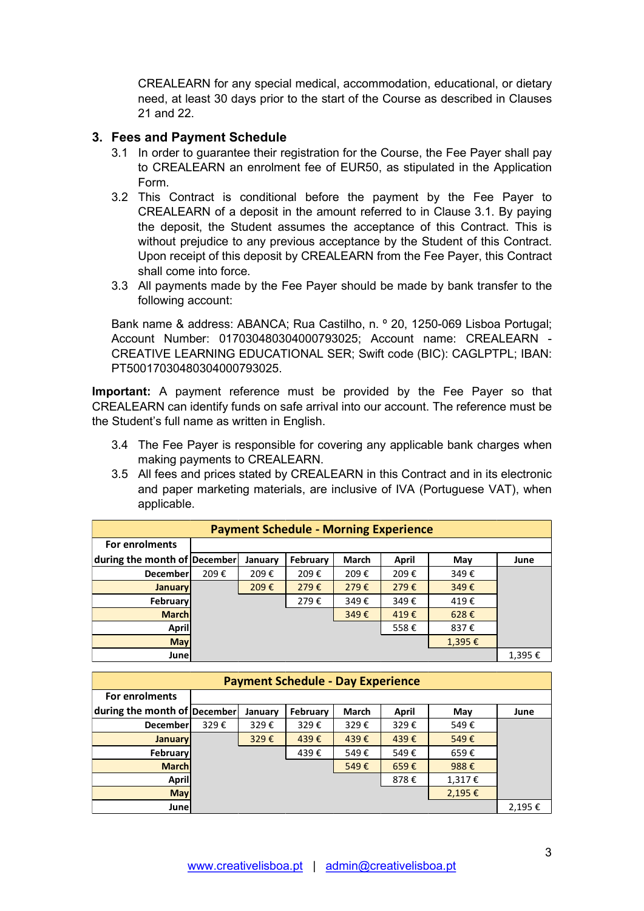CREALEARN for any special medical, accommodation, educational, or dietary need, at least 30 days prior to the start of the Course as described in Clauses 21 and 22.

#### 3. Fees and Payment Schedule

- 3.1 In order to guarantee their registration for the Course, the Fee Payer shall pay to CREALEARN an enrolment fee of EUR50, as stipulated in the Application Form.
- 3.2 This Contract is conditional before the payment by the Fee Payer to CREALEARN of a deposit in the amount referred to in Clause 3.1. By paying the deposit, the Student assumes the acceptance of this Contract. This is without prejudice to any previous acceptance by the Student of this Contract. Upon receipt of this deposit by CREALEARN from the Fee Payer, this Contract shall come into force.
- 3.3 All payments made by the Fee Payer should be made by bank transfer to the following account:

- 3.4 The Fee Payer is responsible for covering any applicable bank charges when making payments to CREALEARN.
- 3.5 All fees and prices stated by CREALEARN in this Contract and in its electronic and paper marketing materials, are inclusive of IVA (Portuguese VAT), when applicable.

|                                                | following account:                           |      |         |                                              |       |       | $3.5$ The payments made by the Fee Fayer should be made by bank transfer to the                                                                                                                                                                    |        |
|------------------------------------------------|----------------------------------------------|------|---------|----------------------------------------------|-------|-------|----------------------------------------------------------------------------------------------------------------------------------------------------------------------------------------------------------------------------------------------------|--------|
|                                                | PT50017030480304000793025.                   |      |         |                                              |       |       | Bank name & address: ABANCA; Rua Castilho, n. º 20, 1250-069 Lisboa Portugal;<br>Account Number: 017030480304000793025; Account name: CREALEARN -<br>CREATIVE LEARNING EDUCATIONAL SER; Swift code (BIC): CAGLPTPL; IBAN:                          |        |
| the Student's full name as written in English. |                                              |      |         |                                              |       |       | <b>Important:</b> A payment reference must be provided by the Fee Payer so that<br>CREALEARN can identify funds on safe arrival into our account. The reference must be                                                                            |        |
|                                                | making payments to CREALEARN.<br>applicable. |      |         |                                              |       |       | 3.4 The Fee Payer is responsible for covering any applicable bank charges when<br>3.5 All fees and prices stated by CREALEARN in this Contract and in its electronic<br>and paper marketing materials, are inclusive of IVA (Portuguese VAT), when |        |
|                                                |                                              |      |         | <b>Payment Schedule - Morning Experience</b> |       |       |                                                                                                                                                                                                                                                    |        |
| For enrolments                                 |                                              |      |         |                                              |       |       |                                                                                                                                                                                                                                                    |        |
| during the month of December                   |                                              |      | January | February                                     | March | April | May                                                                                                                                                                                                                                                | June   |
|                                                | December                                     | 209€ | 209€    | 209€                                         | 209€  | 209€  | 349€                                                                                                                                                                                                                                               |        |
|                                                | <b>January</b>                               |      | 209€    | 279€                                         | 279€  | 279€  | 349€                                                                                                                                                                                                                                               |        |
|                                                | February                                     |      |         | 279€                                         | 349€  | 349€  | 419€                                                                                                                                                                                                                                               |        |
|                                                | <b>March</b>                                 |      |         |                                              | 349€  | 419€  | 628€                                                                                                                                                                                                                                               |        |
|                                                | <b>April</b>                                 |      |         |                                              |       | 558€  | 837€                                                                                                                                                                                                                                               |        |
|                                                | <b>May</b>                                   |      |         |                                              |       |       | 1,395€                                                                                                                                                                                                                                             |        |
|                                                | June                                         |      |         |                                              |       |       |                                                                                                                                                                                                                                                    | 1,395€ |
|                                                |                                              |      |         | <b>Payment Schedule - Day Experience</b>     |       |       |                                                                                                                                                                                                                                                    |        |
| For enrolments                                 |                                              |      |         |                                              |       |       |                                                                                                                                                                                                                                                    |        |
| during the month of December                   |                                              |      | January | February                                     | March | April | May                                                                                                                                                                                                                                                | June   |
|                                                | <b>December</b>                              | 329€ | 329€    | 329€                                         | 329€  | 329€  | 549€                                                                                                                                                                                                                                               |        |
|                                                | <b>January</b>                               |      | 329€    | 439€                                         | 439€  | 439€  | 549€                                                                                                                                                                                                                                               |        |
|                                                | February                                     |      |         | 439€                                         | 549€  | 549€  | 659€                                                                                                                                                                                                                                               |        |
|                                                | <b>March</b>                                 |      |         |                                              | 549€  | 659€  | 988€                                                                                                                                                                                                                                               |        |
|                                                | April                                        |      |         |                                              |       | 878€  | 1,317€                                                                                                                                                                                                                                             |        |
|                                                | <b>May</b>                                   |      |         |                                              |       |       | 2,195€                                                                                                                                                                                                                                             |        |
|                                                | June                                         |      |         |                                              |       |       |                                                                                                                                                                                                                                                    | 2,195€ |
|                                                |                                              |      |         |                                              |       |       |                                                                                                                                                                                                                                                    |        |
|                                                |                                              |      |         |                                              |       |       |                                                                                                                                                                                                                                                    | 3      |

|                              |      |         | <b>Payment Schedule - Day Experience</b> |       |       |        |        |
|------------------------------|------|---------|------------------------------------------|-------|-------|--------|--------|
| For enrolments               |      |         |                                          |       |       |        |        |
| during the month of December |      | January | February                                 | March | April | May    | June   |
| <b>December</b>              | 329€ | 329€    | 329€                                     | 329€  | 329€  | 549€   |        |
| <b>January</b>               |      | 329€    | 439€                                     | 439€  | 439€  | 549€   |        |
| <b>February</b>              |      |         | 439€                                     | 549€  | 549€  | 659€   |        |
| <b>March</b>                 |      |         |                                          | 549€  | 659€  | 988€   |        |
| April                        |      |         |                                          |       | 878€  | 1,317€ |        |
| <b>May</b>                   |      |         |                                          |       |       | 2,195€ |        |
| <b>Junel</b>                 |      |         |                                          |       |       |        | 2,195€ |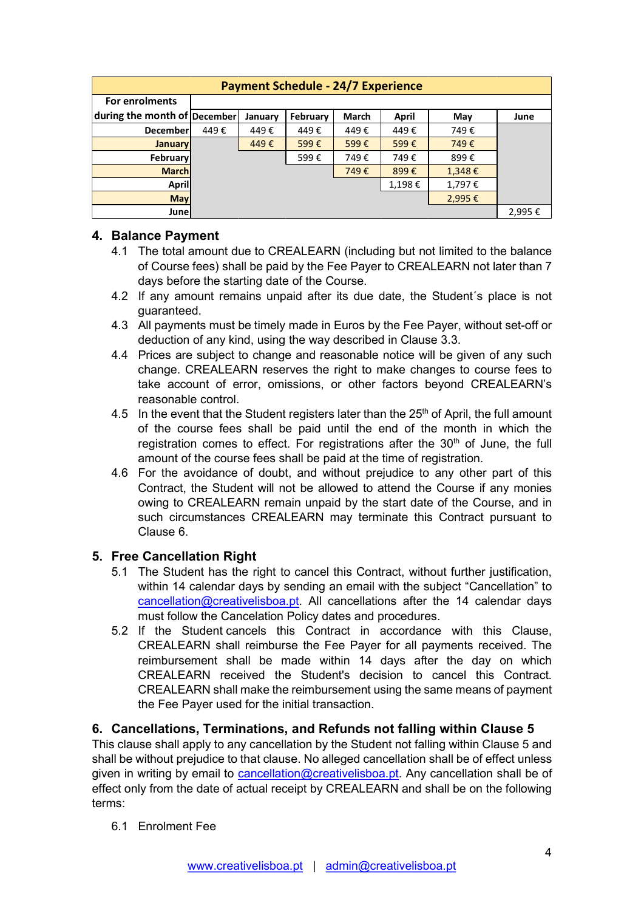|                              |      |         | <b>Payment Schedule - 24/7 Experience</b> |       |                |                  |        |
|------------------------------|------|---------|-------------------------------------------|-------|----------------|------------------|--------|
| For enrolments               |      |         |                                           |       |                |                  |        |
| during the month of December |      | January | February                                  | March | <b>April</b>   | May              | June   |
| December                     | 449€ | 449€    | 449€                                      | 449€  | 449€           | 749€             |        |
| <b>January</b>               |      | 449€    | 599€                                      | 599€  | 599€           | 749€             |        |
| February                     |      |         | 599€                                      | 749€  | 749€           | 899€             |        |
| <b>March</b><br><b>April</b> |      |         |                                           | 749€  | 899€<br>1,198€ | 1,348€<br>1,797€ |        |
| <b>May</b>                   |      |         |                                           |       |                | 2,995€           |        |
| <b>June</b>                  |      |         |                                           |       |                |                  | 2,995€ |

## 4. Balance Payment

- 4.1 The total amount due to CREALEARN (including but not limited to the balance of Course fees) shall be paid by the Fee Payer to CREALEARN not later than 7 days before the starting date of the Course.
- 4.2 If any amount remains unpaid after its due date, the Student´s place is not guaranteed.
- 4.3 All payments must be timely made in Euros by the Fee Payer, without set-off or deduction of any kind, using the way described in Clause 3.3.
- 4.4 Prices are subject to change and reasonable notice will be given of any such change. CREALEARN reserves the right to make changes to course fees to take account of error, omissions, or other factors beyond CREALEARN's reasonable control.
- 4.5 In the event that the Student registers later than the 25<sup>th</sup> of April, the full amount of the course fees shall be paid until the end of the month in which the registration comes to effect. For registrations after the  $30<sup>th</sup>$  of June, the full amount of the course fees shall be paid at the time of registration.
- 4.6 For the avoidance of doubt, and without prejudice to any other part of this Contract, the Student will not be allowed to attend the Course if any monies owing to CREALEARN remain unpaid by the start date of the Course, and in such circumstances CREALEARN may terminate this Contract pursuant to Clause 6.

## 5. Free Cancellation Right

- 5.1 The Student has the right to cancel this Contract, without further justification, within 14 calendar days by sending an email with the subject "Cancellation" to cancellation@creativelisboa.pt. All cancellations after the 14 calendar days must follow the Cancelation Policy dates and procedures.
- 5.2 If the Student cancels this Contract in accordance with this Clause, CREALEARN shall reimburse the Fee Payer for all payments received. The reimbursement shall be made within 14 days after the day on which CREALEARN received the Student's decision to cancel this Contract. CREALEARN shall make the reimbursement using the same means of payment the Fee Payer used for the initial transaction.

## 6. Cancellations, Terminations, and Refunds not falling within Clause 5

This clause shall apply to any cancellation by the Student not falling within Clause 5 and shall be without prejudice to that clause. No alleged cancellation shall be of effect unless given in writing by email to cancellation@creativelisboa.pt. Any cancellation shall be of effect only from the date of actual receipt by CREALEARN and shall be on the following terms:

6.1 Enrolment Fee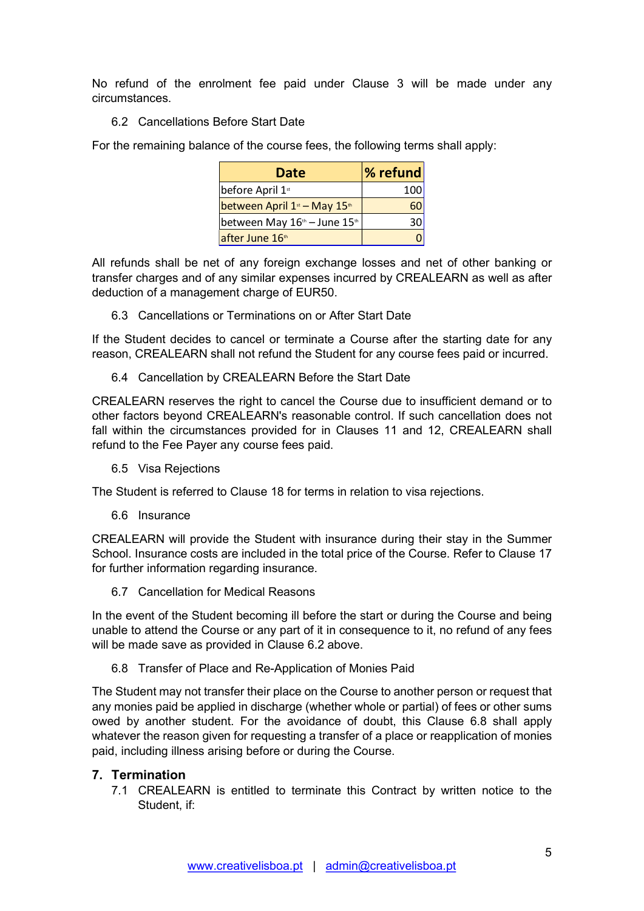No refund of the enrolment fee paid under Clause 3 will be made under any circumstances.

6.2 Cancellations Before Start Date

For the remaining balance of the course fees, the following terms shall apply:

| olment fee paid under Clause 3 will be made under any    |             |  |
|----------------------------------------------------------|-------------|--|
|                                                          |             |  |
| Before Start Date                                        |             |  |
|                                                          |             |  |
| ice of the course fees, the following terms shall apply: |             |  |
| <b>Date</b>                                              | % refund    |  |
| before April 1st                                         | 100         |  |
| between April 1 <sup>st</sup> - May 15 <sup>th</sup>     | 60          |  |
| between May 16th - June 15th                             | 30          |  |
| after June 16th                                          | $\mathbf 0$ |  |

All refunds shall be net of any foreign exchange losses and net of other banking or transfer charges and of any similar expenses incurred by CREALEARN as well as after deduction of a management charge of EUR50.

6.3 Cancellations or Terminations on or After Start Date

If the Student decides to cancel or terminate a Course after the starting date for any reason, CREALEARN shall not refund the Student for any course fees paid or incurred.

6.4 Cancellation by CREALEARN Before the Start Date

CREALEARN reserves the right to cancel the Course due to insufficient demand or to other factors beyond CREALEARN's reasonable control. If such cancellation does not fall within the circumstances provided for in Clauses 11 and 12, CREALEARN shall refund to the Fee Payer any course fees paid.

6.5 Visa Rejections

The Student is referred to Clause 18 for terms in relation to visa rejections.

6.6 Insurance

CREALEARN will provide the Student with insurance during their stay in the Summer School. Insurance costs are included in the total price of the Course. Refer to Clause 17 for further information regarding insurance.

6.7 Cancellation for Medical Reasons

In the event of the Student becoming ill before the start or during the Course and being unable to attend the Course or any part of it in consequence to it, no refund of any fees will be made save as provided in Clause 6.2 above.

6.8 Transfer of Place and Re-Application of Monies Paid

The Student may not transfer their place on the Course to another person or request that any monies paid be applied in discharge (whether whole or partial) of fees or other sums owed by another student. For the avoidance of doubt, this Clause 6.8 shall apply whatever the reason given for requesting a transfer of a place or reapplication of monies paid, including illness arising before or during the Course.

## 7. Termination

7.1 CREALEARN is entitled to terminate this Contract by written notice to the Student, if: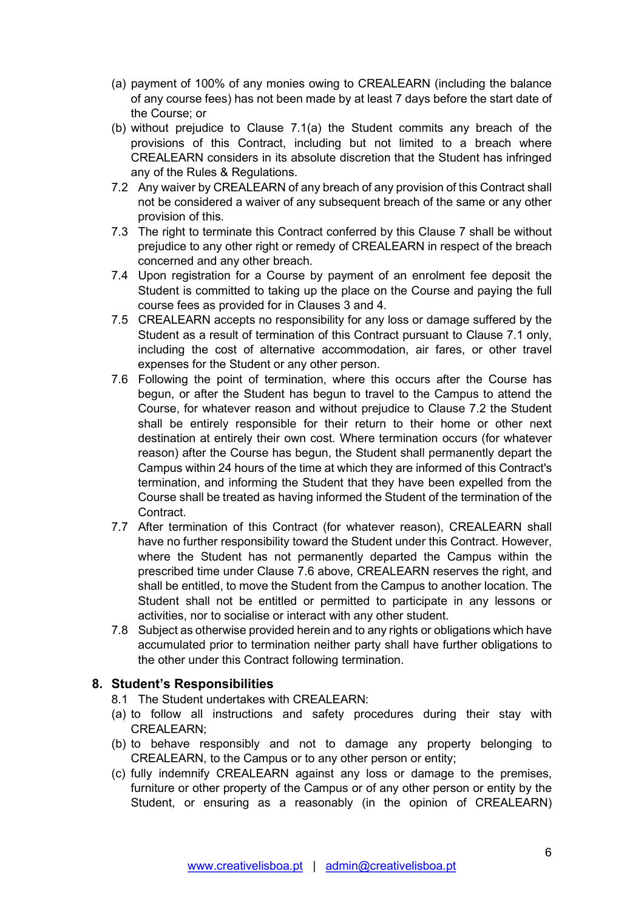- (a) payment of 100% of any monies owing to CREALEARN (including the balance of any course fees) has not been made by at least 7 days before the start date of the Course; or
- (b) without prejudice to Clause 7.1(a) the Student commits any breach of the provisions of this Contract, including but not limited to a breach where CREALEARN considers in its absolute discretion that the Student has infringed any of the Rules & Regulations.
- 7.2 Any waiver by CREALEARN of any breach of any provision of this Contract shall not be considered a waiver of any subsequent breach of the same or any other provision of this.
- 7.3 The right to terminate this Contract conferred by this Clause 7 shall be without prejudice to any other right or remedy of CREALEARN in respect of the breach concerned and any other breach.
- 7.4 Upon registration for a Course by payment of an enrolment fee deposit the Student is committed to taking up the place on the Course and paying the full course fees as provided for in Clauses 3 and 4.
- 7.5 CREALEARN accepts no responsibility for any loss or damage suffered by the Student as a result of termination of this Contract pursuant to Clause 7.1 only, including the cost of alternative accommodation, air fares, or other travel expenses for the Student or any other person.
- 7.6 Following the point of termination, where this occurs after the Course has begun, or after the Student has begun to travel to the Campus to attend the Course, for whatever reason and without prejudice to Clause 7.2 the Student shall be entirely responsible for their return to their home or other next destination at entirely their own cost. Where termination occurs (for whatever reason) after the Course has begun, the Student shall permanently depart the Campus within 24 hours of the time at which they are informed of this Contract's termination, and informing the Student that they have been expelled from the Course shall be treated as having informed the Student of the termination of the Contract.
- 7.7 After termination of this Contract (for whatever reason), CREALEARN shall have no further responsibility toward the Student under this Contract. However, where the Student has not permanently departed the Campus within the prescribed time under Clause 7.6 above, CREALEARN reserves the right, and shall be entitled, to move the Student from the Campus to another location. The Student shall not be entitled or permitted to participate in any lessons or activities, nor to socialise or interact with any other student.
- 7.8 Subject as otherwise provided herein and to any rights or obligations which have accumulated prior to termination neither party shall have further obligations to the other under this Contract following termination.

## 8. Student's Responsibilities

- 8.1 The Student undertakes with CREALEARN:
- (a) to follow all instructions and safety procedures during their stay with CREALEARN;
- (b) to behave responsibly and not to damage any property belonging to CREALEARN, to the Campus or to any other person or entity;
- (c) fully indemnify CREALEARN against any loss or damage to the premises, furniture or other property of the Campus or of any other person or entity by the Student, or ensuring as a reasonably (in the opinion of CREALEARN)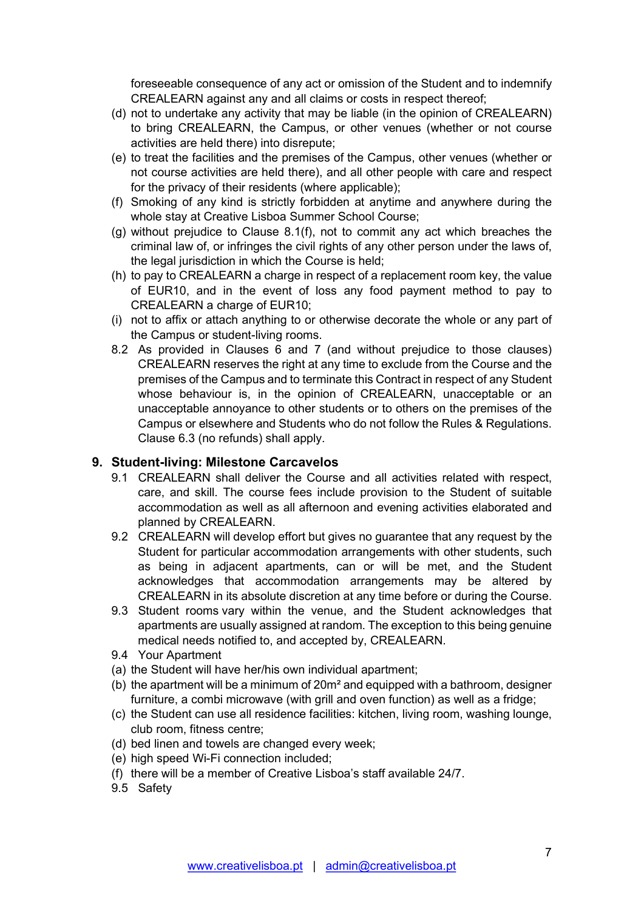foreseeable consequence of any act or omission of the Student and to indemnify CREALEARN against any and all claims or costs in respect thereof;

- (d) not to undertake any activity that may be liable (in the opinion of CREALEARN) to bring CREALEARN, the Campus, or other venues (whether or not course activities are held there) into disrepute;
- (e) to treat the facilities and the premises of the Campus, other venues (whether or not course activities are held there), and all other people with care and respect for the privacy of their residents (where applicable);
- (f) Smoking of any kind is strictly forbidden at anytime and anywhere during the whole stay at Creative Lisboa Summer School Course;
- (g) without prejudice to Clause 8.1(f), not to commit any act which breaches the criminal law of, or infringes the civil rights of any other person under the laws of, the legal jurisdiction in which the Course is held;
- (h) to pay to CREALEARN a charge in respect of a replacement room key, the value of EUR10, and in the event of loss any food payment method to pay to CREALEARN a charge of EUR10;
- (i) not to affix or attach anything to or otherwise decorate the whole or any part of the Campus or student-living rooms.
- 8.2 As provided in Clauses 6 and 7 (and without prejudice to those clauses) CREALEARN reserves the right at any time to exclude from the Course and the premises of the Campus and to terminate this Contract in respect of any Student whose behaviour is, in the opinion of CREALEARN, unacceptable or an unacceptable annoyance to other students or to others on the premises of the Campus or elsewhere and Students who do not follow the Rules & Regulations. Clause 6.3 (no refunds) shall apply.

## 9. Student-living: Milestone Carcavelos

- 9.1 CREALEARN shall deliver the Course and all activities related with respect, care, and skill. The course fees include provision to the Student of suitable accommodation as well as all afternoon and evening activities elaborated and planned by CREALEARN.
- 9.2 CREALEARN will develop effort but gives no guarantee that any request by the Student for particular accommodation arrangements with other students, such as being in adjacent apartments, can or will be met, and the Student acknowledges that accommodation arrangements may be altered by CREALEARN in its absolute discretion at any time before or during the Course.
- 9.3 Student rooms vary within the venue, and the Student acknowledges that apartments are usually assigned at random. The exception to this being genuine medical needs notified to, and accepted by, CREALEARN.
- 9.4 Your Apartment
- (a) the Student will have her/his own individual apartment;
- (b) the apartment will be a minimum of 20m² and equipped with a bathroom, designer furniture, a combi microwave (with grill and oven function) as well as a fridge;
- (c) the Student can use all residence facilities: kitchen, living room, washing lounge, club room, fitness centre;
- (d) bed linen and towels are changed every week;
- (e) high speed Wi-Fi connection included;
- (f) there will be a member of Creative Lisboa's staff available 24/7.
- 9.5 Safety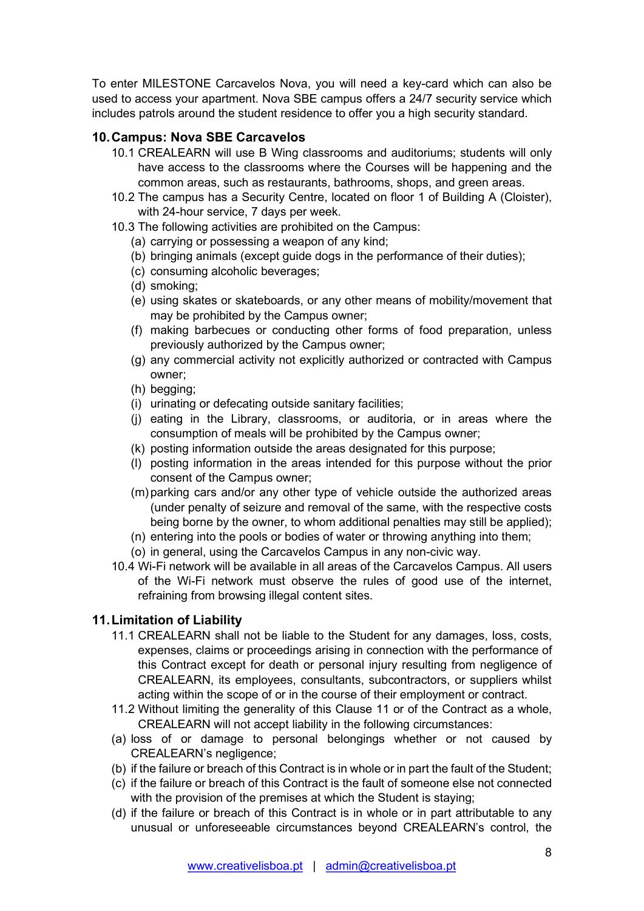To enter MILESTONE Carcavelos Nova, you will need a key-card which can also be used to access your apartment. Nova SBE campus offers a 24/7 security service which includes patrols around the student residence to offer you a high security standard.

## 10. Campus: Nova SBE Carcavelos

- 10.1 CREALEARN will use B Wing classrooms and auditoriums; students will only have access to the classrooms where the Courses will be happening and the common areas, such as restaurants, bathrooms, shops, and green areas.
- 10.2 The campus has a Security Centre, located on floor 1 of Building A (Cloister), with 24-hour service, 7 days per week.
- 10.3 The following activities are prohibited on the Campus:
	- (a) carrying or possessing a weapon of any kind;
	- (b) bringing animals (except guide dogs in the performance of their duties);
	- (c) consuming alcoholic beverages;
	- (d) smoking;
	- (e) using skates or skateboards, or any other means of mobility/movement that may be prohibited by the Campus owner;
	- (f) making barbecues or conducting other forms of food preparation, unless previously authorized by the Campus owner;
	- (g) any commercial activity not explicitly authorized or contracted with Campus owner;
	- (h) begging;
	- (i) urinating or defecating outside sanitary facilities;
	- (j) eating in the Library, classrooms, or auditoria, or in areas where the consumption of meals will be prohibited by the Campus owner;
	- (k) posting information outside the areas designated for this purpose;
	- (l) posting information in the areas intended for this purpose without the prior consent of the Campus owner;
	- (m) parking cars and/or any other type of vehicle outside the authorized areas (under penalty of seizure and removal of the same, with the respective costs being borne by the owner, to whom additional penalties may still be applied);
	- (n) entering into the pools or bodies of water or throwing anything into them;
	- (o) in general, using the Carcavelos Campus in any non-civic way.
- 10.4 Wi-Fi network will be available in all areas of the Carcavelos Campus. All users of the Wi-Fi network must observe the rules of good use of the internet, refraining from browsing illegal content sites.

## 11. Limitation of Liability

- 11.1 CREALEARN shall not be liable to the Student for any damages, loss, costs, expenses, claims or proceedings arising in connection with the performance of this Contract except for death or personal injury resulting from negligence of CREALEARN, its employees, consultants, subcontractors, or suppliers whilst acting within the scope of or in the course of their employment or contract.
- 11.2 Without limiting the generality of this Clause 11 or of the Contract as a whole, CREALEARN will not accept liability in the following circumstances:
- (a) loss of or damage to personal belongings whether or not caused by CREALEARN's negligence;
- (b) if the failure or breach of this Contract is in whole or in part the fault of the Student;
- (c) if the failure or breach of this Contract is the fault of someone else not connected with the provision of the premises at which the Student is staying;
- (d) if the failure or breach of this Contract is in whole or in part attributable to any unusual or unforeseeable circumstances beyond CREALEARN's control, the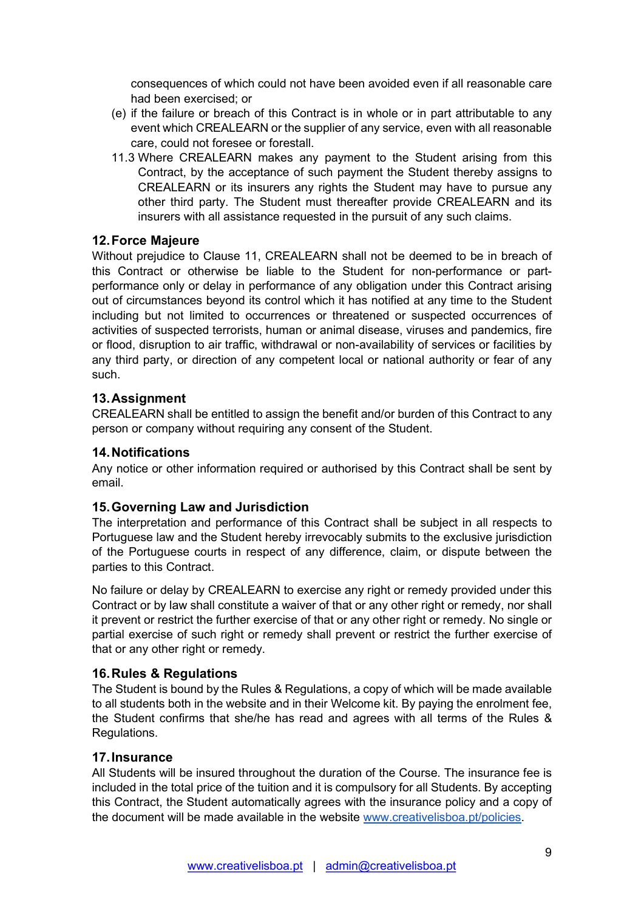consequences of which could not have been avoided even if all reasonable care had been exercised; or

- (e) if the failure or breach of this Contract is in whole or in part attributable to any event which CREALEARN or the supplier of any service, even with all reasonable care, could not foresee or forestall.
- 11.3 Where CREALEARN makes any payment to the Student arising from this Contract, by the acceptance of such payment the Student thereby assigns to CREALEARN or its insurers any rights the Student may have to pursue any other third party. The Student must thereafter provide CREALEARN and its insurers with all assistance requested in the pursuit of any such claims.

## 12. Force Majeure

Without prejudice to Clause 11, CREALEARN shall not be deemed to be in breach of this Contract or otherwise be liable to the Student for non-performance or partperformance only or delay in performance of any obligation under this Contract arising out of circumstances beyond its control which it has notified at any time to the Student including but not limited to occurrences or threatened or suspected occurrences of activities of suspected terrorists, human or animal disease, viruses and pandemics, fire or flood, disruption to air traffic, withdrawal or non-availability of services or facilities by any third party, or direction of any competent local or national authority or fear of any such.

#### 13. Assignment

CREALEARN shall be entitled to assign the benefit and/or burden of this Contract to any person or company without requiring any consent of the Student.

#### 14. Notifications

Any notice or other information required or authorised by this Contract shall be sent by email.

#### 15. Governing Law and Jurisdiction

The interpretation and performance of this Contract shall be subject in all respects to Portuguese law and the Student hereby irrevocably submits to the exclusive jurisdiction of the Portuguese courts in respect of any difference, claim, or dispute between the parties to this Contract.

No failure or delay by CREALEARN to exercise any right or remedy provided under this Contract or by law shall constitute a waiver of that or any other right or remedy, nor shall it prevent or restrict the further exercise of that or any other right or remedy. No single or partial exercise of such right or remedy shall prevent or restrict the further exercise of that or any other right or remedy.

#### 16. Rules & Regulations

The Student is bound by the Rules & Regulations, a copy of which will be made available to all students both in the website and in their Welcome kit. By paying the enrolment fee, the Student confirms that she/he has read and agrees with all terms of the Rules & Regulations.

#### 17. Insurance

All Students will be insured throughout the duration of the Course. The insurance fee is included in the total price of the tuition and it is compulsory for all Students. By accepting this Contract, the Student automatically agrees with the insurance policy and a copy of the document will be made available in the website www.creativelisboa.pt/policies.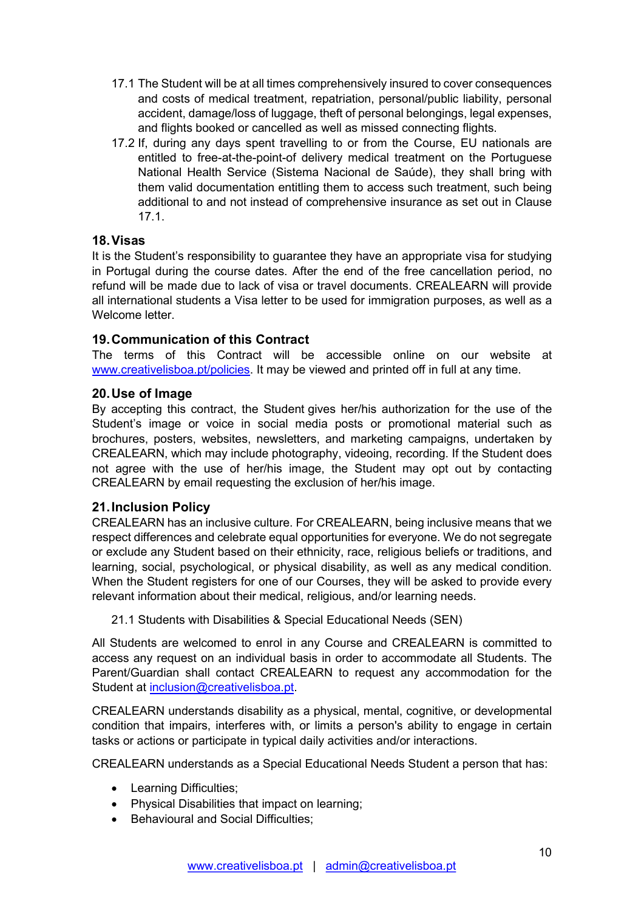- 17.1 The Student will be at all times comprehensively insured to cover consequences and costs of medical treatment, repatriation, personal/public liability, personal accident, damage/loss of luggage, theft of personal belongings, legal expenses, and flights booked or cancelled as well as missed connecting flights.
- 17.2 If, during any days spent travelling to or from the Course, EU nationals are entitled to free-at-the-point-of delivery medical treatment on the Portuguese National Health Service (Sistema Nacional de Saúde), they shall bring with them valid documentation entitling them to access such treatment, such being additional to and not instead of comprehensive insurance as set out in Clause 17.1.

## 18. Visas

It is the Student's responsibility to guarantee they have an appropriate visa for studying in Portugal during the course dates. After the end of the free cancellation period, no refund will be made due to lack of visa or travel documents. CREALEARN will provide all international students a Visa letter to be used for immigration purposes, as well as a Welcome letter

## 19. Communication of this Contract

The terms of this Contract will be accessible online on our website at www.creativelisboa.pt/policies. It may be viewed and printed off in full at any time.

## 20. Use of Image

By accepting this contract, the Student gives her/his authorization for the use of the Student's image or voice in social media posts or promotional material such as brochures, posters, websites, newsletters, and marketing campaigns, undertaken by CREALEARN, which may include photography, videoing, recording. If the Student does not agree with the use of her/his image, the Student may opt out by contacting CREALEARN by email requesting the exclusion of her/his image.

## 21. Inclusion Policy

CREALEARN has an inclusive culture. For CREALEARN, being inclusive means that we respect differences and celebrate equal opportunities for everyone. We do not segregate or exclude any Student based on their ethnicity, race, religious beliefs or traditions, and learning, social, psychological, or physical disability, as well as any medical condition. When the Student registers for one of our Courses, they will be asked to provide every relevant information about their medical, religious, and/or learning needs.

## 21.1 Students with Disabilities & Special Educational Needs (SEN)

All Students are welcomed to enrol in any Course and CREALEARN is committed to access any request on an individual basis in order to accommodate all Students. The Parent/Guardian shall contact CREALEARN to request any accommodation for the Student at inclusion@creativelisboa.pt.

CREALEARN understands disability as a physical, mental, cognitive, or developmental condition that impairs, interferes with, or limits a person's ability to engage in certain tasks or actions or participate in typical daily activities and/or interactions.

CREALEARN understands as a Special Educational Needs Student a person that has:

- Learning Difficulties;
- Physical Disabilities that impact on learning;
- Behavioural and Social Difficulties: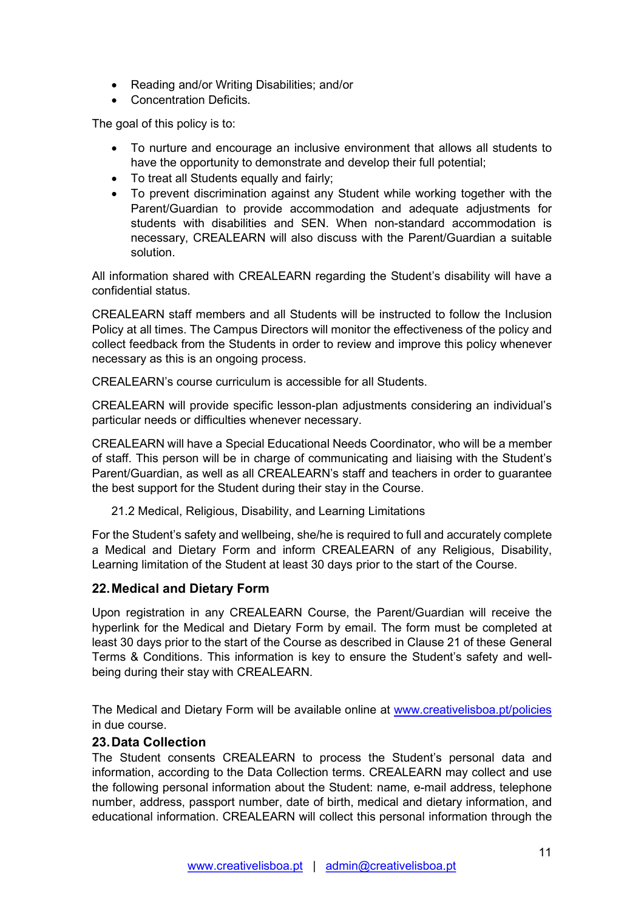- Reading and/or Writing Disabilities; and/or
- Concentration Deficits.

The goal of this policy is to:

- To nurture and encourage an inclusive environment that allows all students to have the opportunity to demonstrate and develop their full potential;
- To treat all Students equally and fairly;
- To prevent discrimination against any Student while working together with the Parent/Guardian to provide accommodation and adequate adjustments for students with disabilities and SEN. When non-standard accommodation is necessary, CREALEARN will also discuss with the Parent/Guardian a suitable solution.

All information shared with CREALEARN regarding the Student's disability will have a confidential status.

CREALEARN staff members and all Students will be instructed to follow the Inclusion Policy at all times. The Campus Directors will monitor the effectiveness of the policy and collect feedback from the Students in order to review and improve this policy whenever necessary as this is an ongoing process.

CREALEARN's course curriculum is accessible for all Students.

CREALEARN will provide specific lesson-plan adjustments considering an individual's particular needs or difficulties whenever necessary.

CREALEARN will have a Special Educational Needs Coordinator, who will be a member of staff. This person will be in charge of communicating and liaising with the Student's Parent/Guardian, as well as all CREALEARN's staff and teachers in order to guarantee the best support for the Student during their stay in the Course.

21.2 Medical, Religious, Disability, and Learning Limitations

For the Student's safety and wellbeing, she/he is required to full and accurately complete a Medical and Dietary Form and inform CREALEARN of any Religious, Disability, Learning limitation of the Student at least 30 days prior to the start of the Course.

## 22. Medical and Dietary Form

Upon registration in any CREALEARN Course, the Parent/Guardian will receive the hyperlink for the Medical and Dietary Form by email. The form must be completed at least 30 days prior to the start of the Course as described in Clause 21 of these General Terms & Conditions. This information is key to ensure the Student's safety and wellbeing during their stay with CREALEARN.

The Medical and Dietary Form will be available online at www.creativelisboa.pt/policies in due course.

## 23. Data Collection

The Student consents CREALEARN to process the Student's personal data and information, according to the Data Collection terms. CREALEARN may collect and use the following personal information about the Student: name, e-mail address, telephone number, address, passport number, date of birth, medical and dietary information, and educational information. CREALEARN will collect this personal information through the